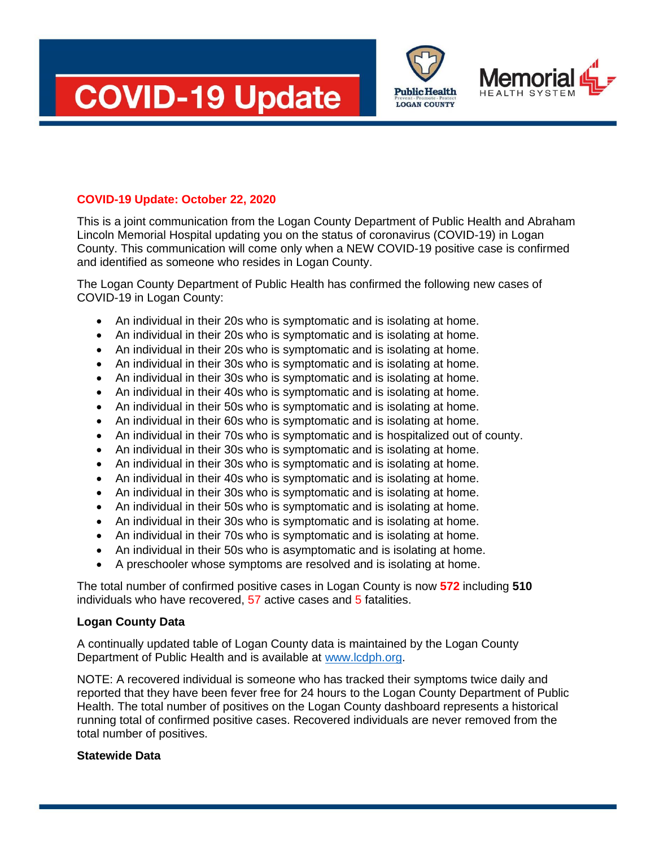





## **COVID-19 Update: October 22, 2020**

This is a joint communication from the Logan County Department of Public Health and Abraham Lincoln Memorial Hospital updating you on the status of coronavirus (COVID-19) in Logan County. This communication will come only when a NEW COVID-19 positive case is confirmed and identified as someone who resides in Logan County.

The Logan County Department of Public Health has confirmed the following new cases of COVID-19 in Logan County:

- An individual in their 20s who is symptomatic and is isolating at home.
- An individual in their 20s who is symptomatic and is isolating at home.
- An individual in their 20s who is symptomatic and is isolating at home.
- An individual in their 30s who is symptomatic and is isolating at home.
- An individual in their 30s who is symptomatic and is isolating at home.
- An individual in their 40s who is symptomatic and is isolating at home.
- An individual in their 50s who is symptomatic and is isolating at home.
- An individual in their 60s who is symptomatic and is isolating at home.
- An individual in their 70s who is symptomatic and is hospitalized out of county.
- An individual in their 30s who is symptomatic and is isolating at home.
- An individual in their 30s who is symptomatic and is isolating at home.
- An individual in their 40s who is symptomatic and is isolating at home.
- An individual in their 30s who is symptomatic and is isolating at home.
- An individual in their 50s who is symptomatic and is isolating at home.
- An individual in their 30s who is symptomatic and is isolating at home.
- An individual in their 70s who is symptomatic and is isolating at home.
- An individual in their 50s who is asymptomatic and is isolating at home.
- A preschooler whose symptoms are resolved and is isolating at home.

The total number of confirmed positive cases in Logan County is now **572** including **510**  individuals who have recovered, 57 active cases and 5 fatalities.

## **Logan County Data**

A continually updated table of Logan County data is maintained by the Logan County Department of Public Health and is available at [www.lcdph.org.](http://www.lcdph.org/)

NOTE: A recovered individual is someone who has tracked their symptoms twice daily and reported that they have been fever free for 24 hours to the Logan County Department of Public Health. The total number of positives on the Logan County dashboard represents a historical running total of confirmed positive cases. Recovered individuals are never removed from the total number of positives.

## **Statewide Data**